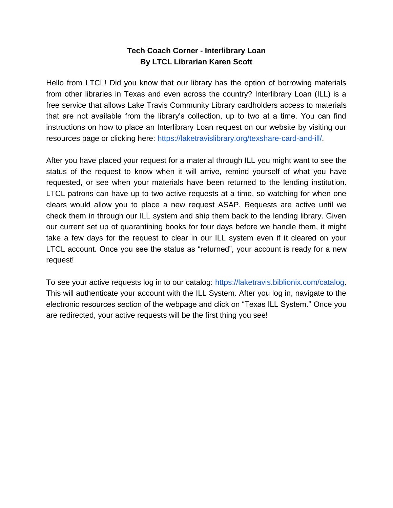## **Tech Coach Corner - Interlibrary Loan By LTCL Librarian Karen Scott**

Hello from LTCL! Did you know that our library has the option of borrowing materials from other libraries in Texas and even across the country? Interlibrary Loan (ILL) is a free service that allows Lake Travis Community Library cardholders access to materials that are not available from the library's collection, up to two at a time. You can find instructions on how to place an Interlibrary Loan request on our website by visiting our resources page or clicking here: [https://laketravislibrary.org/texshare-card-and-ill/.](https://laketravislibrary.org/texshare-card-and-ill/)

After you have placed your request for a material through ILL you might want to see the status of the request to know when it will arrive, remind yourself of what you have requested, or see when your materials have been returned to the lending institution. LTCL patrons can have up to two active requests at a time, so watching for when one clears would allow you to place a new request ASAP. Requests are active until we check them in through our ILL system and ship them back to the lending library. Given our current set up of quarantining books for four days before we handle them, it might take a few days for the request to clear in our ILL system even if it cleared on your LTCL account. Once you see the status as "returned", your account is ready for a new request!

To see your active requests log in to our catalog: [https://laketravis.biblionix.com/catalog.](https://laketravis.biblionix.com/catalog) This will authenticate your account with the ILL System. After you log in, navigate to the electronic resources section of the webpage and click on "Texas ILL System." Once you are redirected, your active requests will be the first thing you see!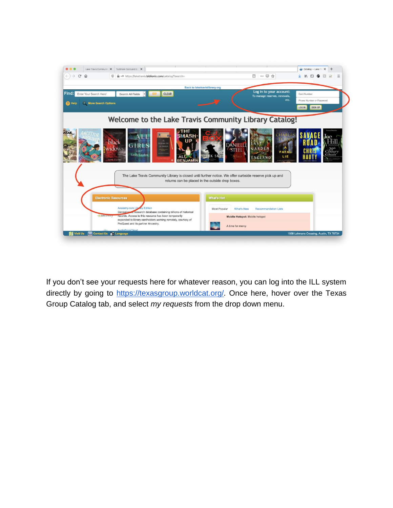

If you don't see your requests here for whatever reason, you can log into the ILL system directly by going to<https://texasgroup.worldcat.org/>*.* Once here, hover over the Texas Group Catalog tab, and select *my requests* from the drop down menu.